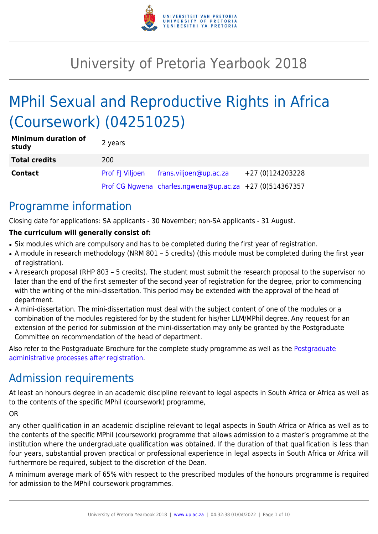

# University of Pretoria Yearbook 2018

# MPhil Sexual and Reproductive Rights in Africa (Coursework) (04251025)

| <b>Minimum duration of</b><br>study | 2 years                |                                                         |                  |
|-------------------------------------|------------------------|---------------------------------------------------------|------------------|
| <b>Total credits</b>                | 200                    |                                                         |                  |
| <b>Contact</b>                      | <b>Prof FJ Viljoen</b> | frans.viljoen@up.ac.za                                  | +27 (0)124203228 |
|                                     |                        | Prof CG Ngwena charles.ngwena@up.ac.za +27 (0)514367357 |                  |

### Programme information

Closing date for applications: SA applicants - 30 November; non-SA applicants - 31 August.

#### **The curriculum will generally consist of:**

- Six modules which are compulsory and has to be completed during the first year of registration.
- A module in research methodology (NRM 801 5 credits) (this module must be completed during the first year of registration).
- A research proposal (RHP 803 5 credits). The student must submit the research proposal to the supervisor no later than the end of the first semester of the second year of registration for the degree, prior to commencing with the writing of the mini-dissertation. This period may be extended with the approval of the head of department.
- A mini-dissertation. The mini-dissertation must deal with the subject content of one of the modules or a combination of the modules registered for by the student for his/her LLM/MPhil degree. Any request for an extension of the period for submission of the mini-dissertation may only be granted by the Postgraduate Committee on recommendation of the head of department.

Also refer to the Postgraduate Brochure for the complete study programme as well as the [Postgraduate](http://www.up.ac.za/media/shared/10/ZP_Files/post-graduate-administrative-processes-brochures-for-the-faculty-web.zp124870.pdf) [administrative processes after registration.](http://www.up.ac.za/media/shared/10/ZP_Files/post-graduate-administrative-processes-brochures-for-the-faculty-web.zp124870.pdf)

## Admission requirements

At least an honours degree in an academic discipline relevant to legal aspects in South Africa or Africa as well as to the contents of the specific MPhil (coursework) programme,

OR

any other qualification in an academic discipline relevant to legal aspects in South Africa or Africa as well as to the contents of the specific MPhil (coursework) programme that allows admission to a master's programme at the institution where the undergraduate qualification was obtained. If the duration of that qualification is less than four years, substantial proven practical or professional experience in legal aspects in South Africa or Africa will furthermore be required, subject to the discretion of the Dean.

A minimum average mark of 65% with respect to the prescribed modules of the honours programme is required for admission to the MPhil coursework programmes.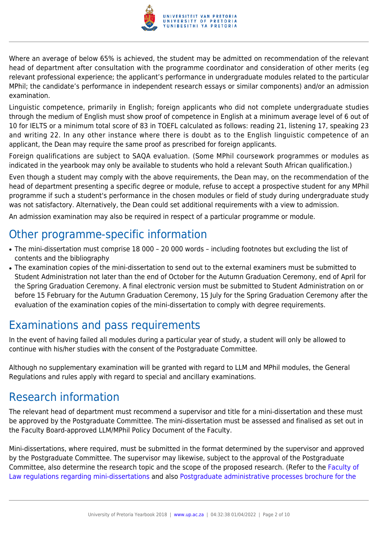

Where an average of below 65% is achieved, the student may be admitted on recommendation of the relevant head of department after consultation with the programme coordinator and consideration of other merits (eg relevant professional experience; the applicant's performance in undergraduate modules related to the particular MPhil; the candidate's performance in independent research essays or similar components) and/or an admission examination.

Linguistic competence, primarily in English; foreign applicants who did not complete undergraduate studies through the medium of English must show proof of competence in English at a minimum average level of 6 out of 10 for IELTS or a minimum total score of 83 in TOEFL calculated as follows: reading 21, listening 17, speaking 23 and writing 22. In any other instance where there is doubt as to the English linguistic competence of an applicant, the Dean may require the same proof as prescribed for foreign applicants.

Foreign qualifications are subject to SAQA evaluation. (Some MPhil coursework programmes or modules as indicated in the yearbook may only be available to students who hold a relevant South African qualification.)

Even though a student may comply with the above requirements, the Dean may, on the recommendation of the head of department presenting a specific degree or module, refuse to accept a prospective student for any MPhil programme if such a student's performance in the chosen modules or field of study during undergraduate study was not satisfactory. Alternatively, the Dean could set additional requirements with a view to admission.

An admission examination may also be required in respect of a particular programme or module.

### Other programme-specific information

- The mini-dissertation must comprise 18 000 20 000 words including footnotes but excluding the list of contents and the bibliography
- The examination copies of the mini-dissertation to send out to the external examiners must be submitted to Student Administration not later than the end of October for the Autumn Graduation Ceremony, end of April for the Spring Graduation Ceremony. A final electronic version must be submitted to Student Administration on or before 15 February for the Autumn Graduation Ceremony, 15 July for the Spring Graduation Ceremony after the evaluation of the examination copies of the mini-dissertation to comply with degree requirements.

### Examinations and pass requirements

In the event of having failed all modules during a particular year of study, a student will only be allowed to continue with his/her studies with the consent of the Postgraduate Committee.

Although no supplementary examination will be granted with regard to LLM and MPhil modules, the General Regulations and rules apply with regard to special and ancillary examinations.

### Research information

The relevant head of department must recommend a supervisor and title for a mini-dissertation and these must be approved by the Postgraduate Committee. The mini-dissertation must be assessed and finalised as set out in the Faculty Board-approved LLM/MPhil Policy Document of the Faculty.

Mini-dissertations, where required, must be submitted in the format determined by the supervisor and approved by the Postgraduate Committee. The supervisor may likewise, subject to the approval of the Postgraduate Committee, also determine the research topic and the scope of the proposed research. (Refer to the [Faculty of](http://www.up.ac.za/media/shared/10/ZP_Files/faculty-regulations-for-the-mini-dissertation.zp124872.pdf) [Law regulations regarding mini-dissertations](http://www.up.ac.za/media/shared/10/ZP_Files/faculty-regulations-for-the-mini-dissertation.zp124872.pdf) and also [Postgraduate administrative processes brochure for the](http://www.up.ac.za/media/shared/10/ZP_Files/post-graduate-administrative-processes-brochures-for-the-faculty-web.zp124870.pdf)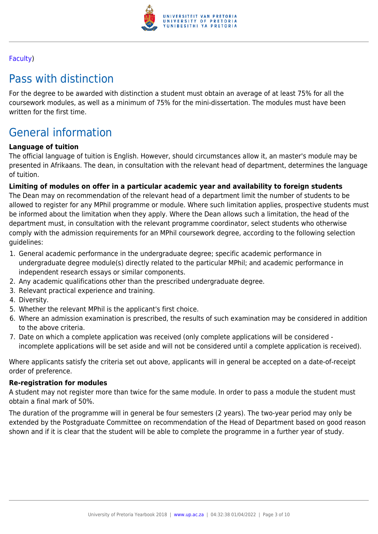

#### [Faculty](http://www.up.ac.za/media/shared/10/ZP_Files/post-graduate-administrative-processes-brochures-for-the-faculty-web.zp124870.pdf))

### Pass with distinction

For the degree to be awarded with distinction a student must obtain an average of at least 75% for all the coursework modules, as well as a minimum of 75% for the mini-dissertation. The modules must have been written for the first time.

## General information

#### **Language of tuition**

The official language of tuition is English. However, should circumstances allow it, an master's module may be presented in Afrikaans. The dean, in consultation with the relevant head of department, determines the language of tuition.

#### **Limiting of modules on offer in a particular academic year and availability to foreign students**

The Dean may on recommendation of the relevant head of a department limit the number of students to be allowed to register for any MPhil programme or module. Where such limitation applies, prospective students must be informed about the limitation when they apply. Where the Dean allows such a limitation, the head of the department must, in consultation with the relevant programme coordinator, select students who otherwise comply with the admission requirements for an MPhil coursework degree, according to the following selection guidelines:

- 1. General academic performance in the undergraduate degree; specific academic performance in undergraduate degree module(s) directly related to the particular MPhil; and academic performance in independent research essays or similar components.
- 2. Any academic qualifications other than the prescribed undergraduate degree.
- 3. Relevant practical experience and training.
- 4. Diversity.
- 5. Whether the relevant MPhil is the applicant's first choice.
- 6. Where an admission examination is prescribed, the results of such examination may be considered in addition to the above criteria.
- 7. Date on which a complete application was received (only complete applications will be considered incomplete applications will be set aside and will not be considered until a complete application is received).

Where applicants satisfy the criteria set out above, applicants will in general be accepted on a date-of-receipt order of preference.

#### **Re-registration for modules**

A student may not register more than twice for the same module. In order to pass a module the student must obtain a final mark of 50%.

The duration of the programme will in general be four semesters (2 years). The two-year period may only be extended by the Postgraduate Committee on recommendation of the Head of Department based on good reason shown and if it is clear that the student will be able to complete the programme in a further year of study.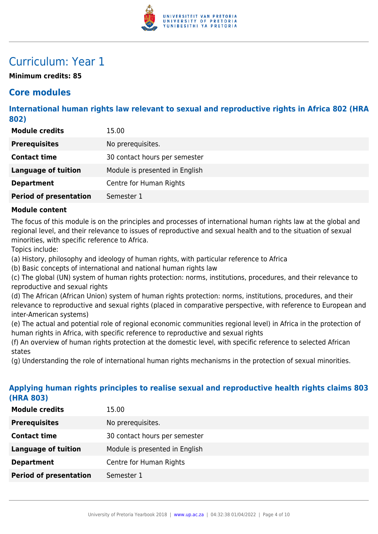

### Curriculum: Year 1

**Minimum credits: 85**

### **Core modules**

**International human rights law relevant to sexual and reproductive rights in Africa 802 (HRA 802)**

| <b>Module credits</b>         | 15.00                          |
|-------------------------------|--------------------------------|
| <b>Prerequisites</b>          | No prerequisites.              |
| <b>Contact time</b>           | 30 contact hours per semester  |
| <b>Language of tuition</b>    | Module is presented in English |
| <b>Department</b>             | Centre for Human Rights        |
| <b>Period of presentation</b> | Semester 1                     |

#### **Module content**

The focus of this module is on the principles and processes of international human rights law at the global and regional level, and their relevance to issues of reproductive and sexual health and to the situation of sexual minorities, with specific reference to Africa.

Topics include:

(a) History, philosophy and ideology of human rights, with particular reference to Africa

(b) Basic concepts of international and national human rights law

(c) The global (UN) system of human rights protection: norms, institutions, procedures, and their relevance to reproductive and sexual rights

(d) The African (African Union) system of human rights protection: norms, institutions, procedures, and their relevance to reproductive and sexual rights (placed in comparative perspective, with reference to European and inter-American systems)

(e) The actual and potential role of regional economic communities regional level) in Africa in the protection of human rights in Africa, with specific reference to reproductive and sexual rights

(f) An overview of human rights protection at the domestic level, with specific reference to selected African states

(g) Understanding the role of international human rights mechanisms in the protection of sexual minorities.

#### **Applying human rights principles to realise sexual and reproductive health rights claims 803 (HRA 803)**

| <b>Module credits</b>         | 15.00                          |
|-------------------------------|--------------------------------|
| <b>Prerequisites</b>          | No prerequisites.              |
| <b>Contact time</b>           | 30 contact hours per semester  |
| <b>Language of tuition</b>    | Module is presented in English |
| <b>Department</b>             | Centre for Human Rights        |
| <b>Period of presentation</b> | Semester 1                     |
|                               |                                |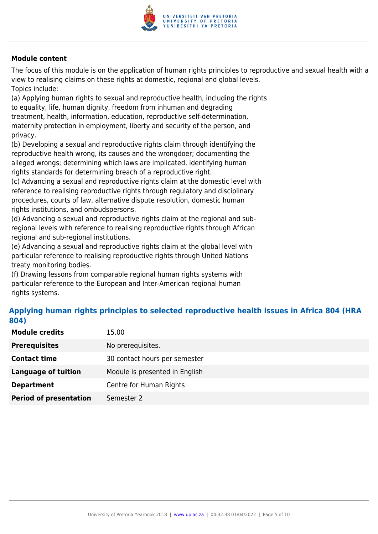

The focus of this module is on the application of human rights principles to reproductive and sexual health with a view to realising claims on these rights at domestic, regional and global levels. Topics include:

(a) Applying human rights to sexual and reproductive health, including the rights to equality, life, human dignity, freedom from inhuman and degrading treatment, health, information, education, reproductive self-determination, maternity protection in employment, liberty and security of the person, and privacy.

(b) Developing a sexual and reproductive rights claim through identifying the reproductive health wrong, its causes and the wrongdoer; documenting the alleged wrongs; determining which laws are implicated, identifying human rights standards for determining breach of a reproductive right.

(c) Advancing a sexual and reproductive rights claim at the domestic level with reference to realising reproductive rights through regulatory and disciplinary procedures, courts of law, alternative dispute resolution, domestic human rights institutions, and ombudspersons.

(d) Advancing a sexual and reproductive rights claim at the regional and subregional levels with reference to realising reproductive rights through African regional and sub-regional institutions.

(e) Advancing a sexual and reproductive rights claim at the global level with particular reference to realising reproductive rights through United Nations treaty monitoring bodies.

(f) Drawing lessons from comparable regional human rights systems with particular reference to the European and Inter-American regional human rights systems.

#### **Applying human rights principles to selected reproductive health issues in Africa 804 (HRA 804)**

| <b>Module credits</b>         | 15.00                          |
|-------------------------------|--------------------------------|
| <b>Prerequisites</b>          | No prerequisites.              |
| <b>Contact time</b>           | 30 contact hours per semester  |
| Language of tuition           | Module is presented in English |
| <b>Department</b>             | Centre for Human Rights        |
| <b>Period of presentation</b> | Semester 2                     |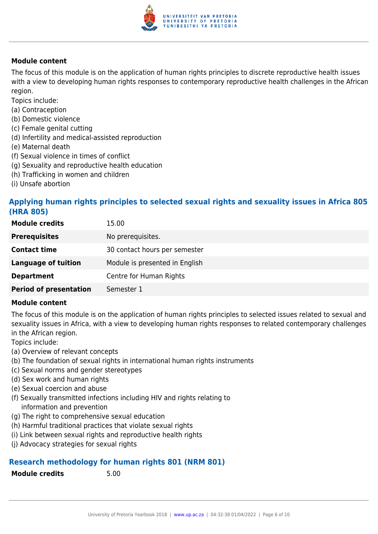

The focus of this module is on the application of human rights principles to discrete reproductive health issues with a view to developing human rights responses to contemporary reproductive health challenges in the African region.

Topics include:

- (a) Contraception
- (b) Domestic violence
- (c) Female genital cutting
- (d) Infertility and medical-assisted reproduction
- (e) Maternal death
- (f) Sexual violence in times of conflict
- (g) Sexuality and reproductive health education
- (h) Trafficking in women and children
- (i) Unsafe abortion

#### **Applying human rights principles to selected sexual rights and sexuality issues in Africa 805 (HRA 805)**

| <b>Module credits</b>         | 15.00                          |
|-------------------------------|--------------------------------|
| <b>Prerequisites</b>          | No prerequisites.              |
| <b>Contact time</b>           | 30 contact hours per semester  |
| <b>Language of tuition</b>    | Module is presented in English |
| <b>Department</b>             | Centre for Human Rights        |
| <b>Period of presentation</b> | Semester 1                     |

#### **Module content**

The focus of this module is on the application of human rights principles to selected issues related to sexual and sexuality issues in Africa, with a view to developing human rights responses to related contemporary challenges in the African region.

Topics include:

- (a) Overview of relevant concepts
- (b) The foundation of sexual rights in international human rights instruments
- (c) Sexual norms and gender stereotypes
- (d) Sex work and human rights
- (e) Sexual coercion and abuse
- (f) Sexually transmitted infections including HIV and rights relating to information and prevention
- (g) The right to comprehensive sexual education
- (h) Harmful traditional practices that violate sexual rights
- (i) Link between sexual rights and reproductive health rights
- (j) Advocacy strategies for sexual rights

#### **Research methodology for human rights 801 (NRM 801)**

**Module credits** 5.00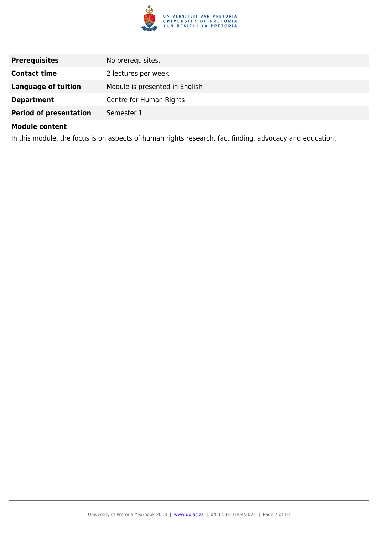

| <b>Prerequisites</b>          | No prerequisites.              |
|-------------------------------|--------------------------------|
| <b>Contact time</b>           | 2 lectures per week            |
| <b>Language of tuition</b>    | Module is presented in English |
| <b>Department</b>             | Centre for Human Rights        |
| <b>Period of presentation</b> | Semester 1                     |

In this module, the focus is on aspects of human rights research, fact finding, advocacy and education.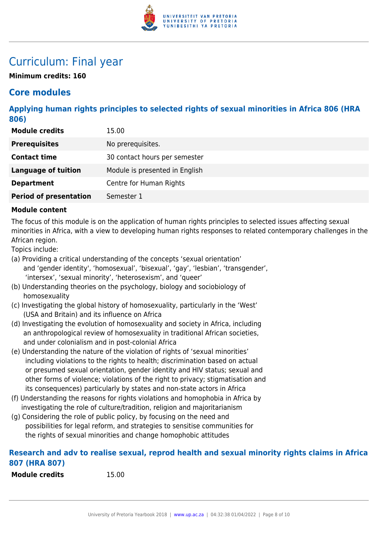

### Curriculum: Final year

**Minimum credits: 160**

### **Core modules**

**Applying human rights principles to selected rights of sexual minorities in Africa 806 (HRA 806)**

| <b>Module credits</b>         | 15.00                          |
|-------------------------------|--------------------------------|
| <b>Prerequisites</b>          | No prerequisites.              |
| <b>Contact time</b>           | 30 contact hours per semester  |
| <b>Language of tuition</b>    | Module is presented in English |
| <b>Department</b>             | Centre for Human Rights        |
| <b>Period of presentation</b> | Semester 1                     |

#### **Module content**

The focus of this module is on the application of human rights principles to selected issues affecting sexual minorities in Africa, with a view to developing human rights responses to related contemporary challenges in the African region.

Topics include:

- (a) Providing a critical understanding of the concepts 'sexual orientation' and 'gender identity', 'homosexual', 'bisexual', 'gay', 'lesbian', 'transgender', 'intersex', 'sexual minority', 'heterosexism', and 'queer'
- (b) Understanding theories on the psychology, biology and sociobiology of homosexuality
- (c) Investigating the global history of homosexuality, particularly in the 'West' (USA and Britain) and its influence on Africa
- (d) Investigating the evolution of homosexuality and society in Africa, including an anthropological review of homosexuality in traditional African societies, and under colonialism and in post-colonial Africa
- (e) Understanding the nature of the violation of rights of 'sexual minorities' including violations to the rights to health; discrimination based on actual or presumed sexual orientation, gender identity and HIV status; sexual and other forms of violence; violations of the right to privacy; stigmatisation and its consequences) particularly by states and non-state actors in Africa
- (f) Understanding the reasons for rights violations and homophobia in Africa by investigating the role of culture/tradition, religion and majoritarianism
- (g) Considering the role of public policy, by focusing on the need and possibilities for legal reform, and strategies to sensitise communities for the rights of sexual minorities and change homophobic attitudes

#### **Research and adv to realise sexual, reprod health and sexual minority rights claims in Africa 807 (HRA 807)**

**Module credits** 15.00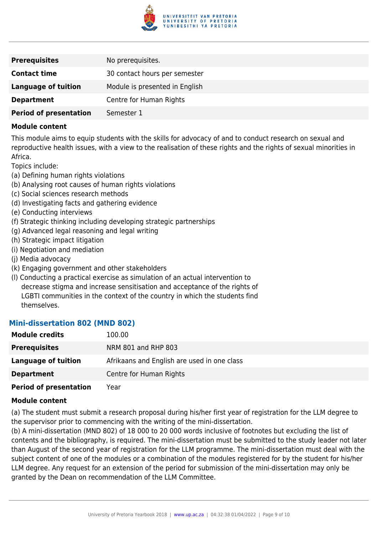

| <b>Prerequisites</b>          | No prerequisites.              |
|-------------------------------|--------------------------------|
| <b>Contact time</b>           | 30 contact hours per semester  |
| <b>Language of tuition</b>    | Module is presented in English |
| <b>Department</b>             | Centre for Human Rights        |
| <b>Period of presentation</b> | Semester 1                     |

This module aims to equip students with the skills for advocacy of and to conduct research on sexual and reproductive health issues, with a view to the realisation of these rights and the rights of sexual minorities in Africa.

Topics include:

- (a) Defining human rights violations
- (b) Analysing root causes of human rights violations
- (c) Social sciences research methods
- (d) Investigating facts and gathering evidence
- (e) Conducting interviews
- (f) Strategic thinking including developing strategic partnerships
- (g) Advanced legal reasoning and legal writing
- (h) Strategic impact litigation
- (i) Negotiation and mediation
- (j) Media advocacy
- (k) Engaging government and other stakeholders
- (l) Conducting a practical exercise as simulation of an actual intervention to decrease stigma and increase sensitisation and acceptance of the rights of LGBTI communities in the context of the country in which the students find themselves.

#### **Mini-dissertation 802 (MND 802)**

| <b>Module credits</b>         | 100.00                                      |
|-------------------------------|---------------------------------------------|
| <b>Prerequisites</b>          | NRM 801 and RHP 803                         |
| Language of tuition           | Afrikaans and English are used in one class |
| <b>Department</b>             | Centre for Human Rights                     |
| <b>Period of presentation</b> | Year                                        |

#### **Module content**

(a) The student must submit a research proposal during his/her first year of registration for the LLM degree to the supervisor prior to commencing with the writing of the mini-dissertation.

(b) A mini-dissertation (MND 802) of 18 000 to 20 000 words inclusive of footnotes but excluding the list of contents and the bibliography, is required. The mini-dissertation must be submitted to the study leader not later than August of the second year of registration for the LLM programme. The mini-dissertation must deal with the subject content of one of the modules or a combination of the modules registered for by the student for his/her LLM degree. Any request for an extension of the period for submission of the mini-dissertation may only be granted by the Dean on recommendation of the LLM Committee.